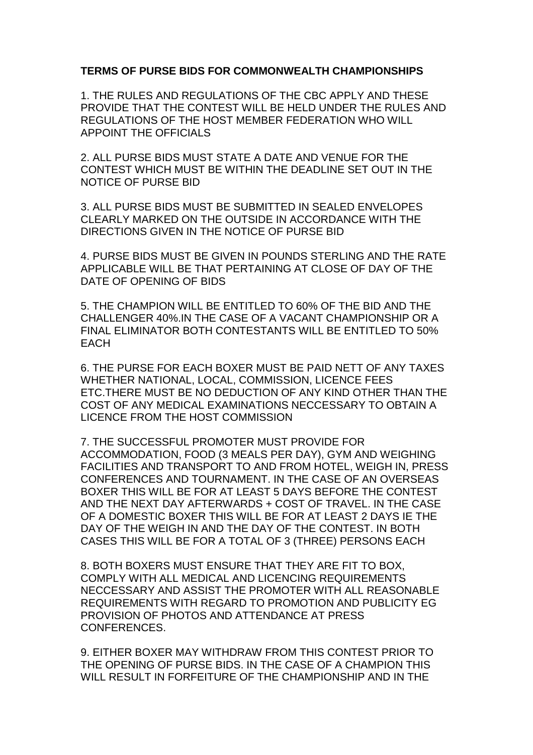## **TERMS OF PURSE BIDS FOR COMMONWEALTH CHAMPIONSHIPS**

1. THE RULES AND REGULATIONS OF THE CBC APPLY AND THESE PROVIDE THAT THE CONTEST WILL BE HELD UNDER THE RULES AND REGULATIONS OF THE HOST MEMBER FEDERATION WHO WILL APPOINT THE OFFICIALS

2. ALL PURSE BIDS MUST STATE A DATE AND VENUE FOR THE CONTEST WHICH MUST BE WITHIN THE DEADLINE SET OUT IN THE NOTICE OF PURSE BID

3. ALL PURSE BIDS MUST BE SUBMITTED IN SEALED ENVELOPES CLEARLY MARKED ON THE OUTSIDE IN ACCORDANCE WITH THE DIRECTIONS GIVEN IN THE NOTICE OF PURSE BID

4. PURSE BIDS MUST BE GIVEN IN POUNDS STERLING AND THE RATE APPLICABLE WILL BE THAT PERTAINING AT CLOSE OF DAY OF THE DATE OF OPENING OF BIDS

5. THE CHAMPION WILL BE ENTITLED TO 60% OF THE BID AND THE CHALLENGER 40%.IN THE CASE OF A VACANT CHAMPIONSHIP OR A FINAL ELIMINATOR BOTH CONTESTANTS WILL BE ENTITLED TO 50% EACH

6. THE PURSE FOR EACH BOXER MUST BE PAID NETT OF ANY TAXES WHETHER NATIONAL, LOCAL, COMMISSION, LICENCE FEES ETC.THERE MUST BE NO DEDUCTION OF ANY KIND OTHER THAN THE COST OF ANY MEDICAL EXAMINATIONS NECCESSARY TO OBTAIN A LICENCE FROM THE HOST COMMISSION

7. THE SUCCESSFUL PROMOTER MUST PROVIDE FOR ACCOMMODATION, FOOD (3 MEALS PER DAY), GYM AND WEIGHING FACILITIES AND TRANSPORT TO AND FROM HOTEL, WEIGH IN, PRESS CONFERENCES AND TOURNAMENT. IN THE CASE OF AN OVERSEAS BOXER THIS WILL BE FOR AT LEAST 5 DAYS BEFORE THE CONTEST AND THE NEXT DAY AFTERWARDS + COST OF TRAVEL. IN THE CASE OF A DOMESTIC BOXER THIS WILL BE FOR AT LEAST 2 DAYS IE THE DAY OF THE WEIGH IN AND THE DAY OF THE CONTEST. IN BOTH CASES THIS WILL BE FOR A TOTAL OF 3 (THREE) PERSONS EACH

8. BOTH BOXERS MUST ENSURE THAT THEY ARE FIT TO BOX, COMPLY WITH ALL MEDICAL AND LICENCING REQUIREMENTS NECCESSARY AND ASSIST THE PROMOTER WITH ALL REASONABLE REQUIREMENTS WITH REGARD TO PROMOTION AND PUBLICITY EG PROVISION OF PHOTOS AND ATTENDANCE AT PRESS CONFERENCES.

9. EITHER BOXER MAY WITHDRAW FROM THIS CONTEST PRIOR TO THE OPENING OF PURSE BIDS. IN THE CASE OF A CHAMPION THIS WILL RESULT IN FORFEITURE OF THE CHAMPIONSHIP AND IN THE